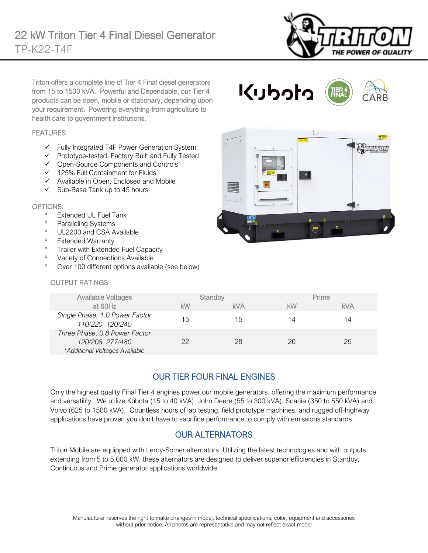

Triton offers a complete line of Tier 4 Final diesel generators from 15 to 1500 kVA. Powerful and Dependable, our Tier 4 products can be open, mobile or stationary, depending upon your requirement. Powering everything from agriculture to health care to government institutions.

### FEATURES

- ✓ Fully Integrated T4F Power Generation System
- ✓ Prototype-tested, Factory Built and Fully Tested
- ✓ Open-Source Components and Controls
- ✓ 125% Full Containment for Fluids
- ✓ Available in Open, Enclosed and Mobile
- $\checkmark$  Sub-Base Tank up to 45 hours

#### OPTIONS:

- Extended UL Fuel Tank
- <sup>o</sup> Paralleling Systems
- <sup>o</sup> UL2200 and CSA Available
- Extended Warranty
- <sup>o</sup> Trailer with Extended Fuel Capacity
- <sup>o</sup> Variety of Connections Available
- Over 100 different options available (see below)

### OUTPUT RATINGS

|             | $\tilde{\mathbf{v}}$<br>$\bullet$<br><b>BBBB</b><br>$\bullet$      | <b>A DELLION</b> |
|-------------|--------------------------------------------------------------------|------------------|
| <b>HERE</b> | <b>A Market</b><br>œ<br><b>STORY LIGHT</b><br>Search.<br>$\bullet$ |                  |
|             | a                                                                  | п                |
|             | V<br>$\overline{a}$                                                | ٠<br>ø           |

くりっけっ

| <b>Available Voltages</b>                                                           |    | Standby    |    | Prime      |
|-------------------------------------------------------------------------------------|----|------------|----|------------|
| at 60Hz                                                                             | kW | <b>kVA</b> | kW | <b>kVA</b> |
| Single Phase, 1.0 Power Factor<br>110/220, 120/240                                  | 15 | 15         | 14 | 14         |
| Three Phase, 0.8 Power Factor<br>120/208, 277/480<br>*Additional Voltages Available | 22 | 28         | 20 | 25         |

## OUR TIER FOUR FINAL ENGINES

Only the highest quality Final Tier 4 engines power our mobile generators, offering the maximum performance and versatility. We utilize Kubota (15 to 40 kVA), John Deere (55 to 300 kVA), Scania (350 to 550 kVA) and Volvo (625 to 1500 kVA). Countless hours of lab testing, field prototype machines, and rugged off-highway applications have proven you don't have to sacrifice performance to comply with emissions standards.

## OUR ALTERNATORS

Triton Mobile are equipped with Leroy-Somer alternators. Utilizing the latest technologies and with outputs extending from 5 to 5,000 kW, these alternators are designed to deliver superior efficiencies in Standby, Continuous and Prime generator applications worldwide.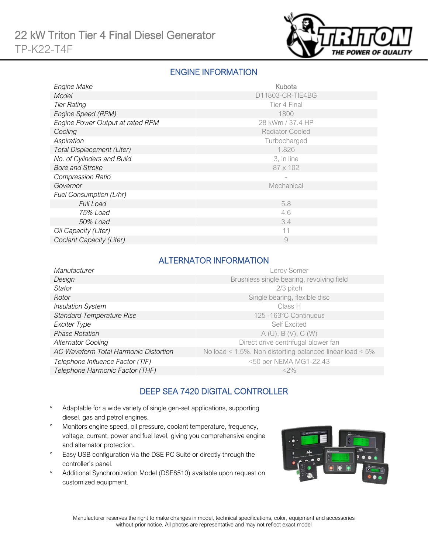

## ENGINE INFORMATION

| Engine Make                       | Kubota                 |
|-----------------------------------|------------------------|
| Model                             | D11803-CR-TIE4BG       |
| <b>Tier Rating</b>                | Tier 4 Final           |
| Engine Speed (RPM)                | 1800                   |
| Engine Power Output at rated RPM  | 28 kWm / 37.4 HP       |
| Cooling                           | <b>Radiator Cooled</b> |
| Aspiration                        | Turbocharged           |
| <b>Total Displacement (Liter)</b> | 1.826                  |
| No. of Cylinders and Build        | 3, in line             |
| <b>Bore and Stroke</b>            | 87 x 102               |
| <b>Compression Ratio</b>          |                        |
| Governor                          | Mechanical             |
| Fuel Consumption (L/hr)           |                        |
| Full Load                         | 5.8                    |
| 75% Load                          | 4.6                    |
| 50% Load                          | 3.4                    |
| Oil Capacity (Liter)              | 11                     |
| Coolant Capacity (Liter)          | 9                      |

### ALTERNATOR INFORMATION

| Manufacturer                          | Leroy Somer                                                     |
|---------------------------------------|-----------------------------------------------------------------|
| Design                                | Brushless single bearing, revolving field                       |
| <b>Stator</b>                         | 2/3 pitch                                                       |
| Rotor                                 | Single bearing, flexible disc                                   |
| <b>Insulation System</b>              | Class H                                                         |
| <b>Standard Temperature Rise</b>      | 125 -163°C Continuous                                           |
| Exciter Type                          | <b>Self Excited</b>                                             |
| <b>Phase Rotation</b>                 | A(U), B(V), C(W)                                                |
| <b>Alternator Cooling</b>             | Direct drive centrifugal blower fan                             |
| AC Waveform Total Harmonic Distortion | No load < $1.5\%$ . Non distorting balanced linear load < $5\%$ |
| Telephone Influence Factor (TIF)      | <50 per NEMA MG1-22.43                                          |
| Telephone Harmonic Factor (THF)       | $<$ 2%                                                          |

## DEEP SEA 7420 DIGITAL CONTROLLER

- Adaptable for a wide variety of single gen-set applications, supporting diesel, gas and petrol engines.
- Monitors engine speed, oil pressure, coolant temperature, frequency, voltage, current, power and fuel level, giving you comprehensive engine and alternator protection.
- <sup>o</sup> Easy USB configuration via the DSE PC Suite or directly through the controller's panel.
- Additional Synchronization Model (DSE8510) available upon request on customized equipment.

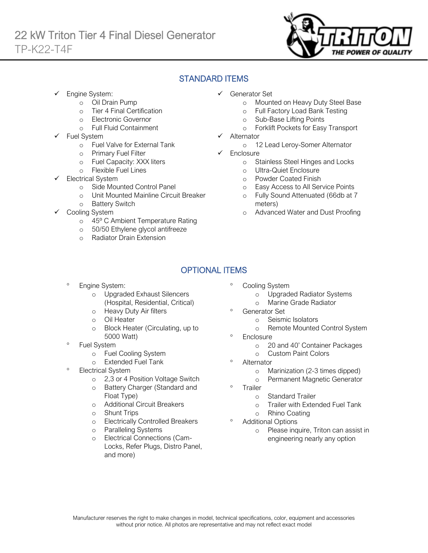

## STANDARD ITEMS

Engine System:

Ī

- o Oil Drain Pump
- o Tier 4 Final Certification
- o Electronic Governor
- o Full Fluid Containment
- Fuel System
	- o Fuel Valve for External Tank
	- o Primary Fuel Filter
	- o Fuel Capacity: XXX liters
	- o Flexible Fuel Lines
- Electrical System
	- o Side Mounted Control Panel
	- o Unit Mounted Mainline Circuit Breaker
	- o Battery Switch
- Cooling System
	- o 45º C Ambient Temperature Rating
	- o 50/50 Ethylene glycol antifreeze
	- o Radiator Drain Extension
- ✓ Generator Set
	- o Mounted on Heavy Duty Steel Base
	- o Full Factory Load Bank Testing
	- o Sub-Base Lifting Points
	- o Forklift Pockets for Easy Transport
- **Alternator** 
	- o 12 Lead Leroy-Somer Alternator
- ✓ Enclosure
	- o Stainless Steel Hinges and Locks
	- o Ultra-Quiet Enclosure
	- o Powder Coated Finish
	- o Easy Access to All Service Points
	- o Fully Sound Attenuated (66db at 7 meters)
	- o Advanced Water and Dust Proofing

# OPTIONAL ITEMS

- Engine System:
	- o Upgraded Exhaust Silencers (Hospital, Residential, Critical)
	- o Heavy Duty Air filters
	- o Oil Heater
	- o Block Heater (Circulating, up to 5000 Watt)
- Fuel System
	- o Fuel Cooling System
	- o Extended Fuel Tank
- Electrical System
	- o 2,3 or 4 Position Voltage Switch
	- o Battery Charger (Standard and Float Type)
	- o Additional Circuit Breakers
	- o Shunt Trips
	- o Electrically Controlled Breakers
	- o Paralleling Systems
	- Electrical Connections (Cam-Locks, Refer Plugs, Distro Panel, and more)
- Cooling System
	- o Upgraded Radiator Systems
	- o Marine Grade Radiator
- Generator Set
	- o Seismic Isolators
	- o Remote Mounted Control System
- <sup>o</sup> Enclosure
	- o 20 and 40' Container Packages
	- o Custom Paint Colors
- <sup>o</sup> Alternator
	- o Marinization (2-3 times dipped)
	- o Permanent Magnetic Generator
- <sup>o</sup> Trailer
	- o Standard Trailer
	- o Trailer with Extended Fuel Tank
	- o Rhino Coating

### Additional Options

o Please inquire, Triton can assist in engineering nearly any option